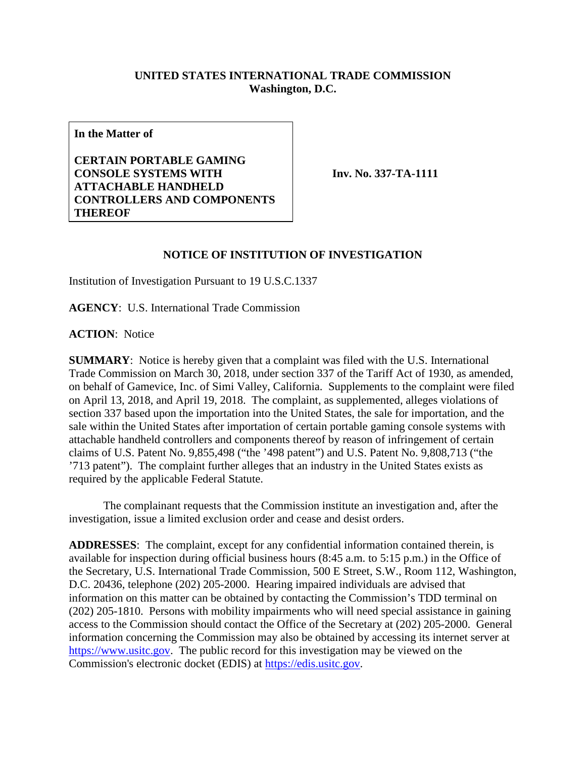## **UNITED STATES INTERNATIONAL TRADE COMMISSION Washington, D.C.**

**In the Matter of**

**CERTAIN PORTABLE GAMING CONSOLE SYSTEMS WITH ATTACHABLE HANDHELD CONTROLLERS AND COMPONENTS THEREOF**

**Inv. No. 337-TA-1111**

## **NOTICE OF INSTITUTION OF INVESTIGATION**

Institution of Investigation Pursuant to 19 U.S.C.1337

**AGENCY**: U.S. International Trade Commission

**ACTION**: Notice

**SUMMARY**: Notice is hereby given that a complaint was filed with the U.S. International Trade Commission on March 30, 2018, under section 337 of the Tariff Act of 1930, as amended, on behalf of Gamevice, Inc. of Simi Valley, California. Supplements to the complaint were filed on April 13, 2018, and April 19, 2018. The complaint, as supplemented, alleges violations of section 337 based upon the importation into the United States, the sale for importation, and the sale within the United States after importation of certain portable gaming console systems with attachable handheld controllers and components thereof by reason of infringement of certain claims of U.S. Patent No. 9,855,498 ("the '498 patent") and U.S. Patent No. 9,808,713 ("the '713 patent"). The complaint further alleges that an industry in the United States exists as required by the applicable Federal Statute.

The complainant requests that the Commission institute an investigation and, after the investigation, issue a limited exclusion order and cease and desist orders.

**ADDRESSES**: The complaint, except for any confidential information contained therein, is available for inspection during official business hours (8:45 a.m. to 5:15 p.m.) in the Office of the Secretary, U.S. International Trade Commission, 500 E Street, S.W., Room 112, Washington, D.C. 20436, telephone (202) 205-2000. Hearing impaired individuals are advised that information on this matter can be obtained by contacting the Commission's TDD terminal on (202) 205-1810. Persons with mobility impairments who will need special assistance in gaining access to the Commission should contact the Office of the Secretary at (202) 205-2000. General information concerning the Commission may also be obtained by accessing its internet server at [https://www.usitc.gov.](https://www.usitc.gov/) The public record for this investigation may be viewed on the Commission's electronic docket (EDIS) at [https://edis.usitc.gov.](https://edis.usitc.gov/)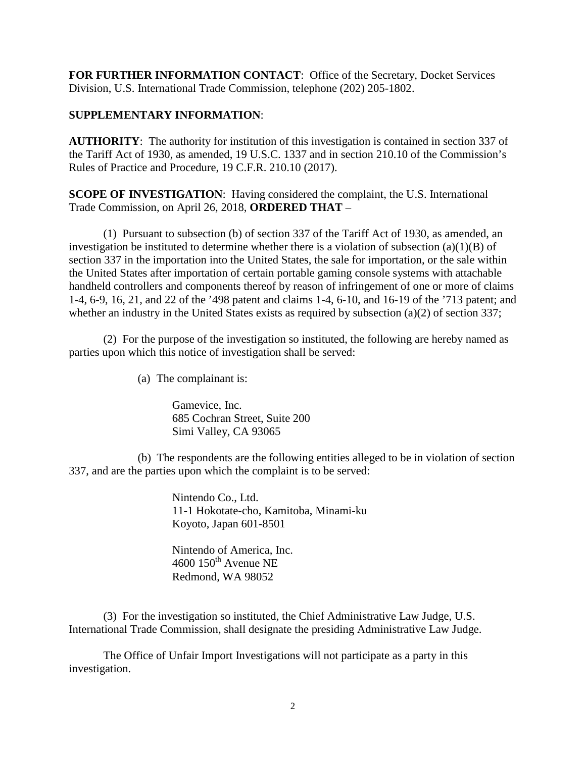**FOR FURTHER INFORMATION CONTACT**: Office of the Secretary, Docket Services Division, U.S. International Trade Commission, telephone (202) 205-1802.

## **SUPPLEMENTARY INFORMATION**:

**AUTHORITY**: The authority for institution of this investigation is contained in section 337 of the Tariff Act of 1930, as amended, 19 U.S.C. 1337 and in section 210.10 of the Commission's Rules of Practice and Procedure, 19 C.F.R. 210.10 (2017).

**SCOPE OF INVESTIGATION:** Having considered the complaint, the U.S. International Trade Commission, on April 26, 2018, **ORDERED THAT** –

(1) Pursuant to subsection (b) of section 337 of the Tariff Act of 1930, as amended, an investigation be instituted to determine whether there is a violation of subsection  $(a)(1)(B)$  of section 337 in the importation into the United States, the sale for importation, or the sale within the United States after importation of certain portable gaming console systems with attachable handheld controllers and components thereof by reason of infringement of one or more of claims 1-4, 6-9, 16, 21, and 22 of the '498 patent and claims 1-4, 6-10, and 16-19 of the '713 patent; and whether an industry in the United States exists as required by subsection (a)(2) of section 337;

(2) For the purpose of the investigation so instituted, the following are hereby named as parties upon which this notice of investigation shall be served:

(a) The complainant is:

Gamevice, Inc. 685 Cochran Street, Suite 200 Simi Valley, CA 93065

(b) The respondents are the following entities alleged to be in violation of section 337, and are the parties upon which the complaint is to be served:

> Nintendo Co., Ltd. 11-1 Hokotate-cho, Kamitoba, Minami-ku Koyoto, Japan 601-8501

Nintendo of America, Inc.  $4600$   $150<sup>th</sup>$  Avenue NE Redmond, WA 98052

(3) For the investigation so instituted, the Chief Administrative Law Judge, U.S. International Trade Commission, shall designate the presiding Administrative Law Judge.

The Office of Unfair Import Investigations will not participate as a party in this investigation.